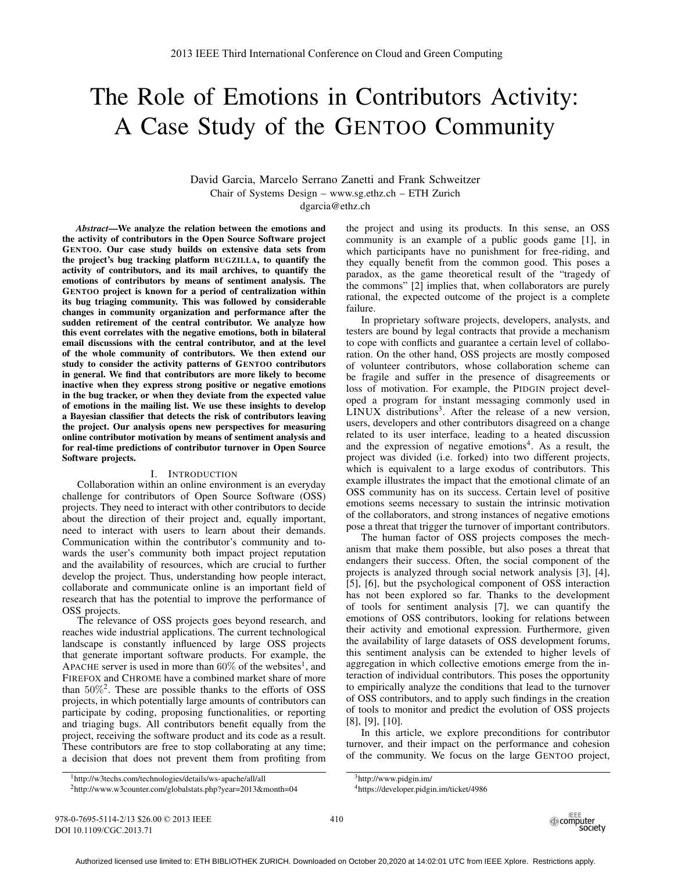# The Role of Emotions in Contributors Activity: A Case Study of the GENTOO Community

# David Garcia, Marcelo Serrano Zanetti and Frank Schweitzer Chair of Systems Design – www.sg.ethz.ch – ETH Zurich dgarcia@ethz.ch

*Abstract*—We analyze the relation between the emotions and the activity of contributors in the Open Source Software project GENTOO. Our case study builds on extensive data sets from the project's bug tracking platform BUGZILLA, to quantify the activity of contributors, and its mail archives, to quantify the emotions of contributors by means of sentiment analysis. The GENTOO project is known for a period of centralization within its bug triaging community. This was followed by considerable changes in community organization and performance after the sudden retirement of the central contributor. We analyze how this event correlates with the negative emotions, both in bilateral email discussions with the central contributor, and at the level of the whole community of contributors. We then extend our study to consider the activity patterns of GENTOO contributors in general. We find that contributors are more likely to become inactive when they express strong positive or negative emotions in the bug tracker, or when they deviate from the expected value of emotions in the mailing list. We use these insights to develop a Bayesian classifier that detects the risk of contributors leaving the project. Our analysis opens new perspectives for measuring online contributor motivation by means of sentiment analysis and for real-time predictions of contributor turnover in Open Source Software projects.

## I. INTRODUCTION

Collaboration within an online environment is an everyday challenge for contributors of Open Source Software (OSS) projects. They need to interact with other contributors to decide about the direction of their project and, equally important, need to interact with users to learn about their demands. Communication within the contributor's community and towards the user's community both impact project reputation and the availability of resources, which are crucial to further develop the project. Thus, understanding how people interact, collaborate and communicate online is an important field of research that has the potential to improve the performance of OSS projects.

The relevance of OSS projects goes beyond research, and reaches wide industrial applications. The current technological landscape is constantly influenced by large OSS projects that generate important software products. For example, the APACHE server is used in more than  $60\%$  of the websites<sup>1</sup>, and FIREFOX and CHROME have a combined market share of more than  $50\%^2$ . These are possible thanks to the efforts of OSS projects, in which potentially large amounts of contributors can participate by coding, proposing functionalities, or reporting and triaging bugs. All contributors benefit equally from the project, receiving the software product and its code as a result. These contributors are free to stop collaborating at any time; a decision that does not prevent them from profiting from the project and using its products. In this sense, an OSS community is an example of a public goods game [1], in which participants have no punishment for free-riding, and they equally benefit from the common good. This poses a paradox, as the game theoretical result of the "tragedy of the commons" [2] implies that, when collaborators are purely rational, the expected outcome of the project is a complete failure.

In proprietary software projects, developers, analysts, and testers are bound by legal contracts that provide a mechanism to cope with conflicts and guarantee a certain level of collaboration. On the other hand, OSS projects are mostly composed of volunteer contributors, whose collaboration scheme can be fragile and suffer in the presence of disagreements or loss of motivation. For example, the PIDGIN project developed a program for instant messaging commonly used in  $LINUX$  distributions<sup>3</sup>. After the release of a new version, users, developers and other contributors disagreed on a change related to its user interface, leading to a heated discussion and the expression of negative emotions<sup>4</sup>. As a result, the project was divided (i.e. forked) into two different projects, which is equivalent to a large exodus of contributors. This example illustrates the impact that the emotional climate of an OSS community has on its success. Certain level of positive emotions seems necessary to sustain the intrinsic motivation of the collaborators, and strong instances of negative emotions pose a threat that trigger the turnover of important contributors.

The human factor of OSS projects composes the mechanism that make them possible, but also poses a threat that endangers their success. Often, the social component of the projects is analyzed through social network analysis [3], [4], [5], [6], but the psychological component of OSS interaction has not been explored so far. Thanks to the development of tools for sentiment analysis [7], we can quantify the emotions of OSS contributors, looking for relations between their activity and emotional expression. Furthermore, given the availability of large datasets of OSS development forums, this sentiment analysis can be extended to higher levels of aggregation in which collective emotions emerge from the interaction of individual contributors. This poses the opportunity to empirically analyze the conditions that lead to the turnover of OSS contributors, and to apply such findings in the creation of tools to monitor and predict the evolution of OSS projects [8], [9], [10].

In this article, we explore preconditions for contributor turnover, and their impact on the performance and cohesion of the community. We focus on the large GENTOO project,

2http://www.w3counter.com/globalstats.php?year=2013&month=04

3http://www.pidgin.im/



<sup>1</sup>http://w3techs.com/technologies/details/ws-apache/all/all

<sup>4</sup>https://developer.pidgin.im/ticket/4986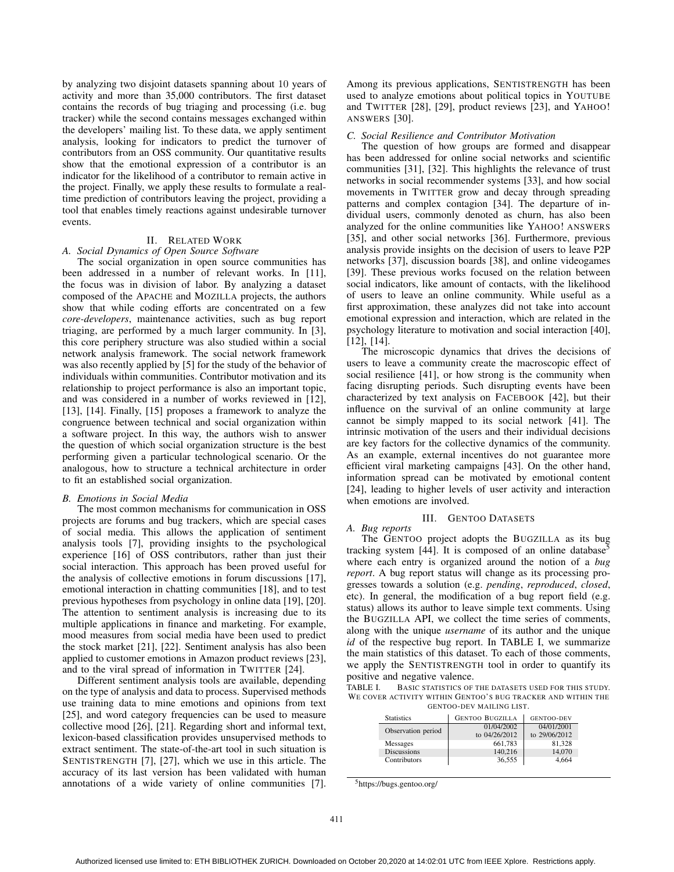by analyzing two disjoint datasets spanning about 10 years of activity and more than 35,000 contributors. The first dataset contains the records of bug triaging and processing (i.e. bug tracker) while the second contains messages exchanged within the developers' mailing list. To these data, we apply sentiment analysis, looking for indicators to predict the turnover of contributors from an OSS community. Our quantitative results show that the emotional expression of a contributor is an indicator for the likelihood of a contributor to remain active in the project. Finally, we apply these results to formulate a realtime prediction of contributors leaving the project, providing a tool that enables timely reactions against undesirable turnover events.

## II. RELATED WORK

# *A. Social Dynamics of Open Source Software*

The social organization in open source communities has been addressed in a number of relevant works. In [11], the focus was in division of labor. By analyzing a dataset composed of the APACHE and MOZILLA projects, the authors show that while coding efforts are concentrated on a few *core-developers*, maintenance activities, such as bug report triaging, are performed by a much larger community. In [3], this core periphery structure was also studied within a social network analysis framework. The social network framework was also recently applied by [5] for the study of the behavior of individuals within communities. Contributor motivation and its relationship to project performance is also an important topic, and was considered in a number of works reviewed in [12], [13], [14]. Finally, [15] proposes a framework to analyze the congruence between technical and social organization within a software project. In this way, the authors wish to answer the question of which social organization structure is the best performing given a particular technological scenario. Or the analogous, how to structure a technical architecture in order to fit an established social organization.

#### *B. Emotions in Social Media*

The most common mechanisms for communication in OSS projects are forums and bug trackers, which are special cases of social media. This allows the application of sentiment analysis tools [7], providing insights to the psychological experience [16] of OSS contributors, rather than just their social interaction. This approach has been proved useful for the analysis of collective emotions in forum discussions [17], emotional interaction in chatting communities [18], and to test previous hypotheses from psychology in online data [19], [20]. The attention to sentiment analysis is increasing due to its multiple applications in finance and marketing. For example, mood measures from social media have been used to predict the stock market [21], [22]. Sentiment analysis has also been applied to customer emotions in Amazon product reviews [23], and to the viral spread of information in TWITTER [24].

Different sentiment analysis tools are available, depending on the type of analysis and data to process. Supervised methods use training data to mine emotions and opinions from text [25], and word category frequencies can be used to measure collective mood [26], [21]. Regarding short and informal text, lexicon-based classification provides unsupervised methods to extract sentiment. The state-of-the-art tool in such situation is SENTISTRENGTH [7], [27], which we use in this article. The accuracy of its last version has been validated with human annotations of a wide variety of online communities [7]. Among its previous applications, SENTISTRENGTH has been used to analyze emotions about political topics in YOUTUBE and TWITTER [28], [29], product reviews [23], and YAHOO! ANSWERS [30].

#### *C. Social Resilience and Contributor Motivation*

The question of how groups are formed and disappear has been addressed for online social networks and scientific communities [31], [32]. This highlights the relevance of trust networks in social recommender systems [33], and how social movements in TWITTER grow and decay through spreading patterns and complex contagion [34]. The departure of individual users, commonly denoted as churn, has also been analyzed for the online communities like YAHOO! ANSWERS [35], and other social networks [36]. Furthermore, previous analysis provide insights on the decision of users to leave P2P networks [37], discussion boards [38], and online videogames [39]. These previous works focused on the relation between social indicators, like amount of contacts, with the likelihood of users to leave an online community. While useful as a first approximation, these analyzes did not take into account emotional expression and interaction, which are related in the psychology literature to motivation and social interaction [40], [12], [14].

The microscopic dynamics that drives the decisions of users to leave a community create the macroscopic effect of social resilience [41], or how strong is the community when facing disrupting periods. Such disrupting events have been characterized by text analysis on FACEBOOK [42], but their influence on the survival of an online community at large cannot be simply mapped to its social network [41]. The intrinsic motivation of the users and their individual decisions are key factors for the collective dynamics of the community. As an example, external incentives do not guarantee more efficient viral marketing campaigns [43]. On the other hand, information spread can be motivated by emotional content [24], leading to higher levels of user activity and interaction when emotions are involved.

## III. GENTOO DATASETS

## *A. Bug reports*

The GENTOO project adopts the BUGZILLA as its bug tracking system [44]. It is composed of an online database<sup>5</sup> where each entry is organized around the notion of a *bug report*. A bug report status will change as its processing progresses towards a solution (e.g. *pending*, *reproduced*, *closed*, etc). In general, the modification of a bug report field (e.g. status) allows its author to leave simple text comments. Using the BUGZILLA API, we collect the time series of comments, along with the unique *username* of its author and the unique *id* of the respective bug report. In TABLE I, we summarize the main statistics of this dataset. To each of those comments, we apply the SENTISTRENGTH tool in order to quantify its positive and negative valence.

TABLE I. BASIC STATISTICS OF THE DATASETS USED FOR THIS STUDY. WE COVER ACTIVITY WITHIN GENTOO'S BUG TRACKER AND WITHIN THE GENTOO-DEV MAILING LIST.

| <b>Statistics</b>  | <b>GENTOO BUGZILLA</b> | <b>GENTOO-DEV</b> |
|--------------------|------------------------|-------------------|
| Observation period | 01/04/2002             | 04/01/2001        |
|                    | to 04/26/2012          | to 29/06/2012     |
| Messages           | 661.783                | 81.328            |
| <b>Discussions</b> | 140.216                | 14.070            |
| Contributors       | 36,555                 | 4.664             |

5https://bugs.gentoo.org/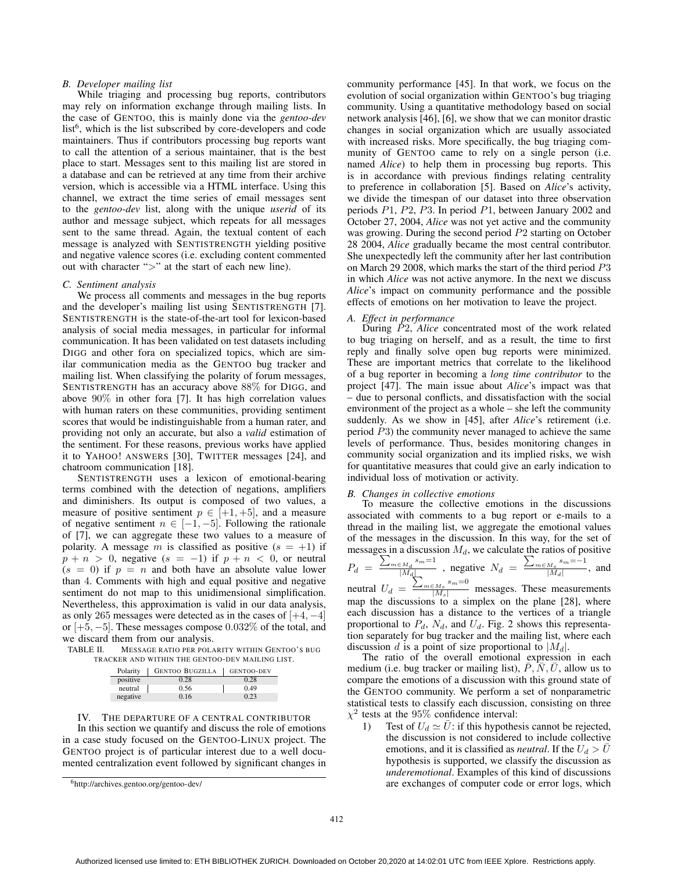## *B. Developer mailing list*

While triaging and processing bug reports, contributors may rely on information exchange through mailing lists. In the case of GENTOO, this is mainly done via the *gentoo-dev*  $list<sup>6</sup>$ , which is the list subscribed by core-developers and code maintainers. Thus if contributors processing bug reports want to call the attention of a serious maintainer, that is the best place to start. Messages sent to this mailing list are stored in a database and can be retrieved at any time from their archive version, which is accessible via a HTML interface. Using this channel, we extract the time series of email messages sent to the *gentoo-dev* list, along with the unique *userid* of its author and message subject, which repeats for all messages sent to the same thread. Again, the textual content of each message is analyzed with SENTISTRENGTH yielding positive and negative valence scores (i.e. excluding content commented out with character ">" at the start of each new line).

## *C. Sentiment analysis*

We process all comments and messages in the bug reports and the developer's mailing list using SENTISTRENGTH [7]. SENTISTRENGTH is the state-of-the-art tool for lexicon-based analysis of social media messages, in particular for informal communication. It has been validated on test datasets including DIGG and other fora on specialized topics, which are similar communication media as the GENTOO bug tracker and mailing list. When classifying the polarity of forum messages, SENTISTRENGTH has an accuracy above 88% for DIGG, and above 90% in other fora [7]. It has high correlation values with human raters on these communities, providing sentiment scores that would be indistinguishable from a human rater, and providing not only an accurate, but also a *valid* estimation of the sentiment. For these reasons, previous works have applied it to YAHOO! ANSWERS [30], TWITTER messages [24], and chatroom communication [18].

SENTISTRENGTH uses a lexicon of emotional-bearing terms combined with the detection of negations, amplifiers and diminishers. Its output is composed of two values, a measure of positive sentiment  $p \in [+1, +5]$ , and a measure of negative sentiment  $n \in [-1, -5]$ . Following the rationale of [7], we can aggregate these two values to a measure of polarity. A message m is classified as positive  $(s = +1)$  if  $p + n > 0$ , negative  $(s = -1)$  if  $p + n < 0$ , or neutral  $(s = 0)$  if  $p = n$  and both have an absolute value lower than 4. Comments with high and equal positive and negative sentiment do not map to this unidimensional simplification. Nevertheless, this approximation is valid in our data analysis, as only 265 messages were detected as in the cases of  $[+4, -4]$ or  $[+5, -5]$ . These messages compose 0.032\% of the total, and we discard them from our analysis.

TABLE II. MESSAGE RATIO PER POLARITY WITHIN GENTOO'S BUG TRACKER AND WITHIN THE GENTOO-DEV MAILING LIST.

| ACAEA AND WITHIN THE UENTOO-DEV MAILING EI |          |                        |                   |  |  |
|--------------------------------------------|----------|------------------------|-------------------|--|--|
|                                            | Polarity | <b>GENTOO BUGZILLA</b> | <b>GENTOO-DEV</b> |  |  |
|                                            | positive | 0.28                   | 0.28              |  |  |
|                                            | neutral  | 0.56                   | 0.49              |  |  |
|                                            | negative | 0.16                   | 0.23              |  |  |



In this section we quantify and discuss the role of emotions in a case study focused on the GENTOO-LINUX project. The GENTOO project is of particular interest due to a well documented centralization event followed by significant changes in

community performance [45]. In that work, we focus on the evolution of social organization within GENTOO's bug triaging community. Using a quantitative methodology based on social network analysis [46], [6], we show that we can monitor drastic changes in social organization which are usually associated with increased risks. More specifically, the bug triaging community of GENTOO came to rely on a single person (i.e. named *Alice*) to help them in processing bug reports. This is in accordance with previous findings relating centrality to preference in collaboration [5]. Based on *Alice*'s activity, we divide the timespan of our dataset into three observation periods P1, P2, P3. In period P1, between January 2002 and October 27, 2004, *Alice* was not yet active and the community was growing. During the second period  $P2$  starting on October 28 2004, *Alice* gradually became the most central contributor. She unexpectedly left the community after her last contribution on March 29 2008, which marks the start of the third period P3 in which *Alice* was not active anymore. In the next we discuss *Alice*'s impact on community performance and the possible effects of emotions on her motivation to leave the project.

## *A. Effect in performance*

During  $\hat{P}2$ , *Alice* concentrated most of the work related to bug triaging on herself, and as a result, the time to first reply and finally solve open bug reports were minimized. These are important metrics that correlate to the likelihood of a bug reporter in becoming a *long time contributor* to the project [47]. The main issue about *Alice*'s impact was that – due to personal conflicts, and dissatisfaction with the social environment of the project as a whole – she left the community suddenly. As we show in [45], after *Alice*'s retirement (i.e. period P3) the community never managed to achieve the same levels of performance. Thus, besides monitoring changes in community social organization and its implied risks, we wish for quantitative measures that could give an early indication to individual loss of motivation or activity.

## *B. Changes in collective emotions*

To measure the collective emotions in the discussions associated with comments to a bug report or e-mails to a thread in the mailing list, we aggregate the emotional values of the messages in the discussion. In this way, for the set of messages in a discussion  $M_d$ , we calculate the ratios of positive  $P_d = \frac{\sum_{m \in M_d} s_m = 1}{|M_d|}$ , negative  $N_d = \frac{\sum_{m \in M_s} s_m = -1}{|M_d|}$ , and neutral  $U_d = \frac{\sum_{m \in M_s} s_m = 0}{|M_s|}$  messages. These measurements map the discussions to a simplex on the plane [28], where each discussion has a distance to the vertices of a triangle proportional to  $P_d$ ,  $N_d$ , and  $U_d$ . Fig. 2 shows this representation separately for bug tracker and the mailing list, where each

discussion d is a point of size proportional to  $|M_d|$ .<br>The ratio of the overall emotional expression in each medium (i.e. bug tracker or mailing list),  $P, N, U$ , allow us to compare the emotions of a discussion with this ground state of the GENTOO community. We perform a set of nonparametric statistical tests to classify each discussion, consisting on three  $\chi^2$  tests at the 95% confidence interval:

Test of  $U_d \simeq \bar{U}$ : if this hypothesis cannot be rejected, the discussion is not considered to include collective emotions, and it is classified as *neutral*. If the  $U_d > U$ hypothesis is supported, we classify the discussion as *underemotional*. Examples of this kind of discussions are exchanges of computer code or error logs, which

<sup>6</sup>http://archives.gentoo.org/gentoo-dev/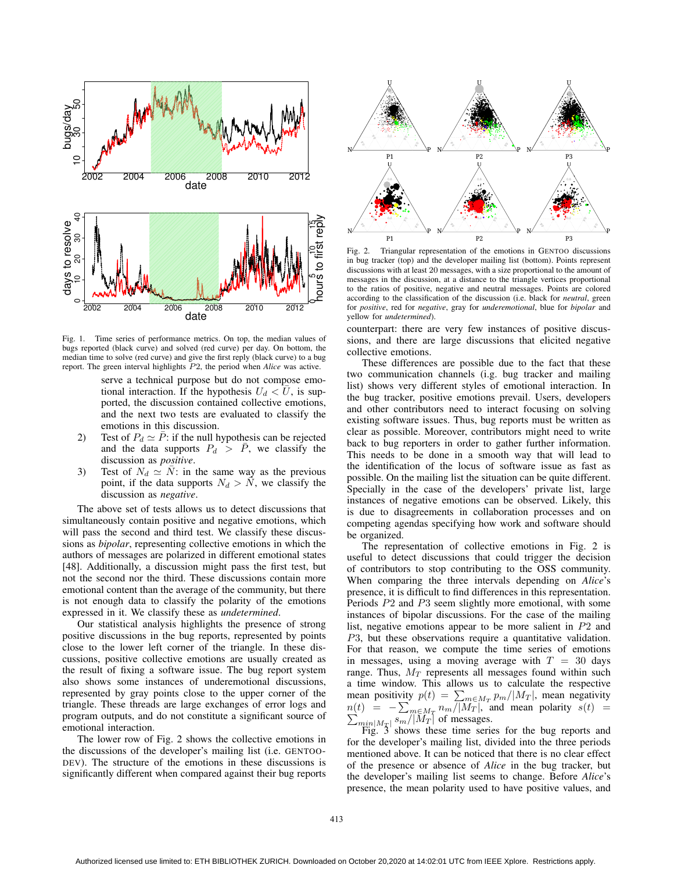

Fig. 1. Time series of performance metrics. On top, the median values of bugs reported (black curve) and solved (red curve) per day. On bottom, the median time to solve (red curve) and give the first reply (black curve) to a bug report. The green interval highlights P2, the period when *Alice* was active.

serve a technical purpose but do not compose emotional interaction. If the hypothesis  $U_d < U$ , is supported, the discussion contained collective emotions, and the next two tests are evaluated to classify the emotions in this discussion.

- 2) Test of  $P_d \simeq \bar{P}$ : if the null hypothesis can be rejected and the data supports  $P_d > \bar{P}$ , we classify the discussion as *positive*.
- 3) Test of  $N_d \simeq \overline{N}$ : in the same way as the previous point, if the data supports  $N_d > \overline{N}$ , we classify the discussion as *negative*.

The above set of tests allows us to detect discussions that simultaneously contain positive and negative emotions, which will pass the second and third test. We classify these discussions as *bipolar*, representing collective emotions in which the authors of messages are polarized in different emotional states [48]. Additionally, a discussion might pass the first test, but not the second nor the third. These discussions contain more emotional content than the average of the community, but there is not enough data to classify the polarity of the emotions expressed in it. We classify these as *undetermined*.

Our statistical analysis highlights the presence of strong positive discussions in the bug reports, represented by points close to the lower left corner of the triangle. In these discussions, positive collective emotions are usually created as the result of fixing a software issue. The bug report system also shows some instances of underemotional discussions, represented by gray points close to the upper corner of the triangle. These threads are large exchanges of error logs and program outputs, and do not constitute a significant source of emotional interaction.

The lower row of Fig. 2 shows the collective emotions in the discussions of the developer's mailing list (i.e. GENTOO-DEV). The structure of the emotions in these discussions is significantly different when compared against their bug reports



Fig. 2. Triangular representation of the emotions in GENTOO discussions in bug tracker (top) and the developer mailing list (bottom). Points represent discussions with at least 20 messages, with a size proportional to the amount of messages in the discussion, at a distance to the triangle vertices proportional to the ratios of positive, negative and neutral messages. Points are colored according to the classification of the discussion (i.e. black for *neutral*, green for *positive*, red for *negative*, gray for *underemotional*, blue for *bipolar* and yellow for *undetermined*).

counterpart: there are very few instances of positive discussions, and there are large discussions that elicited negative collective emotions.

These differences are possible due to the fact that these two communication channels (i.g. bug tracker and mailing list) shows very different styles of emotional interaction. In the bug tracker, positive emotions prevail. Users, developers and other contributors need to interact focusing on solving existing software issues. Thus, bug reports must be written as clear as possible. Moreover, contributors might need to write back to bug reporters in order to gather further information. This needs to be done in a smooth way that will lead to the identification of the locus of software issue as fast as possible. On the mailing list the situation can be quite different. Specially in the case of the developers' private list, large instances of negative emotions can be observed. Likely, this is due to disagreements in collaboration processes and on competing agendas specifying how work and software should be organized.

The representation of collective emotions in Fig. 2 is useful to detect discussions that could trigger the decision of contributors to stop contributing to the OSS community. When comparing the three intervals depending on *Alice*'s presence, it is difficult to find differences in this representation. Periods P2 and P3 seem slightly more emotional, with some instances of bipolar discussions. For the case of the mailing list, negative emotions appear to be more salient in P2 and P3, but these observations require a quantitative validation. For that reason, we compute the time series of emotions in messages, using a moving average with  $T = 30$  days range. Thus,  $M_T$  represents all messages found within such a time window. This allows us to calculate the respective mean positivity  $p(t) = \sum_{i=1}^m p_i m_i / |M_T|$ , mean negativity  $n(t) = -\sum_{m \in M_T} n_m / |M_T|$ , and mean polarity  $s(t) = \sum_{m \in M_T} \frac{n_m / |M_T|}{|M_T|}$  of messages.  $\lim_{m \to \infty} \frac{|M_T|}{|M_T|} \frac{s_m}{|M_T|}$  of messages.<br>Fig. 3 shows these time series for the bug reports and

for the developer's mailing list, divided into the three periods mentioned above. It can be noticed that there is no clear effect of the presence or absence of *Alice* in the bug tracker, but the developer's mailing list seems to change. Before *Alice*'s presence, the mean polarity used to have positive values, and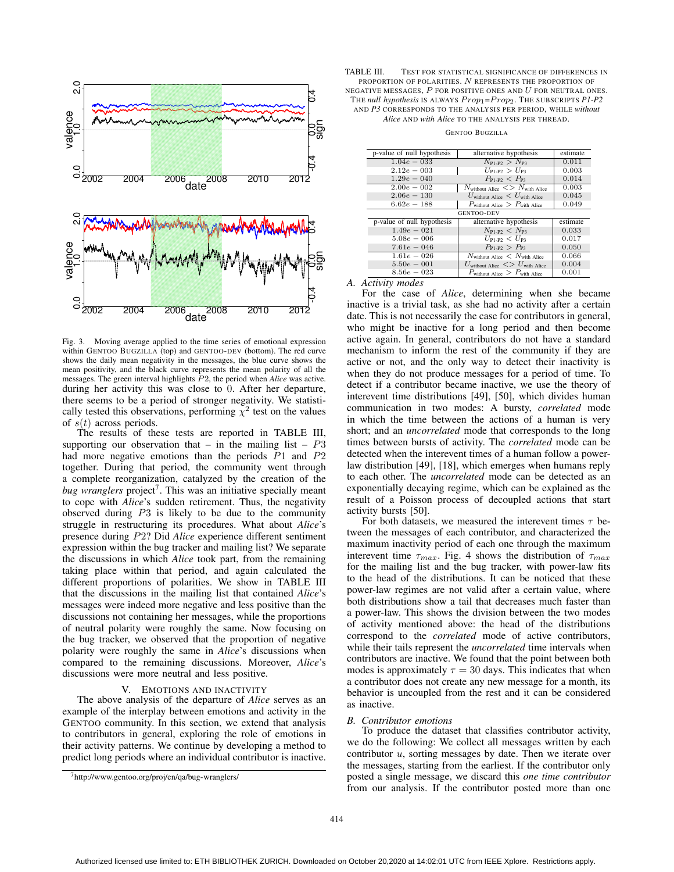

Fig. 3. Moving average applied to the time series of emotional expression within GENTOO BUGZILLA (top) and GENTOO-DEV (bottom). The red curve shows the daily mean negativity in the messages, the blue curve shows the mean positivity, and the black curve represents the mean polarity of all the messages. The green interval highlights P2, the period when *Alice* was active. during her activity this was close to 0. After her departure, there seems to be a period of stronger negativity. We statistically tested this observations, performing  $\chi^2$  test on the values of  $s(t)$  across periods.

The results of these tests are reported in TABLE III, supporting our observation that – in the mailing list –  $P3$ had more negative emotions than the periods  $P1$  and  $P2$ together. During that period, the community went through a complete reorganization, catalyzed by the creation of the *bug wranglers* project<sup>7</sup>. This was an initiative specially meant to cope with *Alice*'s sudden retirement. Thus, the negativity observed during P3 is likely to be due to the community struggle in restructuring its procedures. What about *Alice*'s presence during P2? Did *Alice* experience different sentiment expression within the bug tracker and mailing list? We separate the discussions in which *Alice* took part, from the remaining taking place within that period, and again calculated the different proportions of polarities. We show in TABLE III that the discussions in the mailing list that contained *Alice*'s messages were indeed more negative and less positive than the discussions not containing her messages, while the proportions of neutral polarity were roughly the same. Now focusing on the bug tracker, we observed that the proportion of negative polarity were roughly the same in *Alice*'s discussions when compared to the remaining discussions. Moreover, *Alice*'s discussions were more neutral and less positive.

## V. EMOTIONS AND INACTIVITY

The above analysis of the departure of *Alice* serves as an example of the interplay between emotions and activity in the GENTOO community. In this section, we extend that analysis to contributors in general, exploring the role of emotions in their activity patterns. We continue by developing a method to predict long periods where an individual contributor is inactive. TABLE III. TEST FOR STATISTICAL SIGNIFICANCE OF DIFFERENCES IN PROPORTION OF POLARITIES. N REPRESENTS THE PROPORTION OF NEGATIVE MESSAGES,  $P$  for positive ones and  $U$  for neutral ones.

THE *null hypothesis* IS ALWAYS  $Prop_1 = Prop_2$ . THE SUBSCRIPTS  $PI-P2$ AND *P3* CORRESPONDS TO THE ANALYSIS PER PERIOD, WHILE *without Alice* AND *with Alice* TO THE ANALYSIS PER THREAD.

| p-value of null hypothesis | alternative hypothesis                                | estimate |  |  |
|----------------------------|-------------------------------------------------------|----------|--|--|
| $1.04e - 0.33$             | $N_{\rm Pl,PP} > N_{\rm Pl}$                          | 0.011    |  |  |
| $2.12e - 003$              | $U_{\rm P1-P2} > U_{\rm P3}$                          | 0.003    |  |  |
| $1.29e - 040$              | $P_{\text{PLP2}} < P_{\text{P3}}$                     | 0.014    |  |  |
| $2.00e - 002$              | $N_{\text{without Alice}} \leq N_{\text{with Alice}}$ | 0.003    |  |  |
| $2.06e - 130$              | $U_{\text{without Alice}} < U_{\text{with Alice}}$    | 0.045    |  |  |
| $6.62e - 188$              | $P_{\text{without Alice}} > P_{\text{with Alice}}$    | 0.049    |  |  |
| <b>GENTOO-DEV</b>          |                                                       |          |  |  |
| p-value of null hypothesis | alternative hypothesis                                | estimate |  |  |
| $1.49e - 021$              | $N_{\rm Pl-PP} < N_{\rm P3}$                          | 0.033    |  |  |
| $5.08e - 006$              | $U_{\text{PL-P2}} < U_{\text{P3}}$                    | 0.017    |  |  |
| $7.61e - 0.46$             | $P_{\text{PLP2}} > P_{\text{P3}}$                     | 0.050    |  |  |
| $1.61e - 0.26$             | $N_{\text{without Alice}} < N_{\text{with Alice}}$    | 0.066    |  |  |
| $5.50e - 001$              | $U_{\text{without Alice}} \ll U_{\text{with Alice}}$  | 0.004    |  |  |
| $8.56e - 023$              | $P_{\text{without Alice}} > P_{\text{with Alice}}$    | 0.001    |  |  |

GENTOO BUGZILLA

*A. Activity modes*

For the case of *Alice*, determining when she became inactive is a trivial task, as she had no activity after a certain date. This is not necessarily the case for contributors in general, who might be inactive for a long period and then become active again. In general, contributors do not have a standard mechanism to inform the rest of the community if they are active or not, and the only way to detect their inactivity is when they do not produce messages for a period of time. To detect if a contributor became inactive, we use the theory of interevent time distributions [49], [50], which divides human communication in two modes: A bursty, *correlated* mode in which the time between the actions of a human is very short; and an *uncorrelated* mode that corresponds to the long times between bursts of activity. The *correlated* mode can be detected when the interevent times of a human follow a powerlaw distribution [49], [18], which emerges when humans reply to each other. The *uncorrelated* mode can be detected as an exponentially decaying regime, which can be explained as the result of a Poisson process of decoupled actions that start activity bursts [50].

For both datasets, we measured the interevent times  $\tau$  between the messages of each contributor, and characterized the maximum inactivity period of each one through the maximum interevent time  $\tau_{max}$ . Fig. 4 shows the distribution of  $\tau_{max}$ for the mailing list and the bug tracker, with power-law fits to the head of the distributions. It can be noticed that these power-law regimes are not valid after a certain value, where both distributions show a tail that decreases much faster than a power-law. This shows the division between the two modes of activity mentioned above: the head of the distributions correspond to the *correlated* mode of active contributors, while their tails represent the *uncorrelated* time intervals when contributors are inactive. We found that the point between both modes is approximately  $\tau = 30$  days. This indicates that when a contributor does not create any new message for a month, its behavior is uncoupled from the rest and it can be considered as inactive.

#### *B. Contributor emotions*

To produce the dataset that classifies contributor activity, we do the following: We collect all messages written by each contributor u, sorting messages by date. Then we iterate over the messages, starting from the earliest. If the contributor only posted a single message, we discard this *one time contributor* from our analysis. If the contributor posted more than one

<sup>7</sup>http://www.gentoo.org/proj/en/qa/bug-wranglers/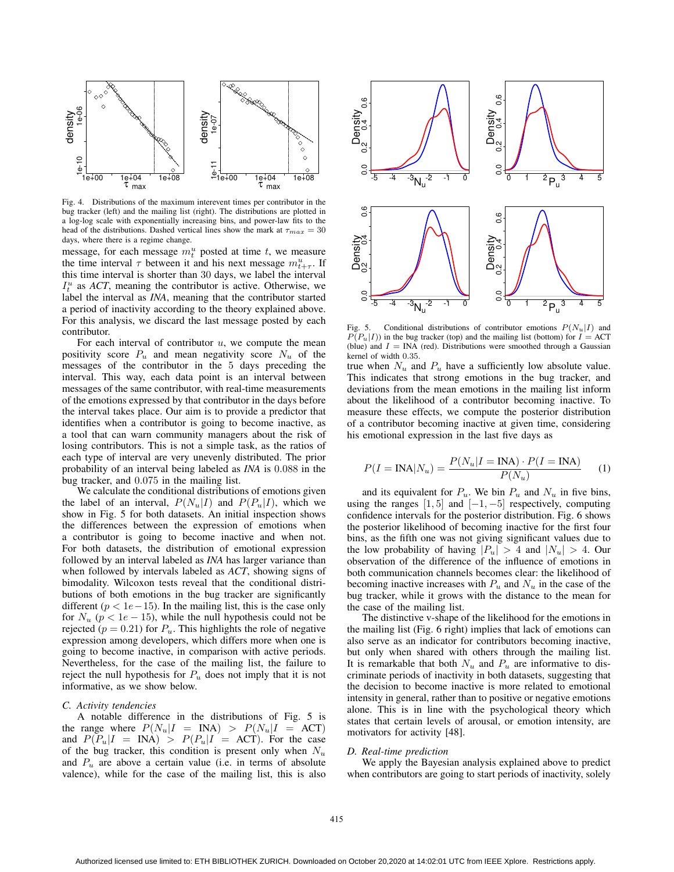

Fig. 4. Distributions of the maximum interevent times per contributor in the bug tracker (left) and the mailing list (right). The distributions are plotted in a log-log scale with exponentially increasing bins, and power-law fits to the head of the distributions. Dashed vertical lines show the mark at  $\tau_{max} = 30$ days, where there is a regime change.

message, for each message  $m_t^u$  posted at time t, we measure the time interval  $\tau$  between it and his next message  $m_{t+\tau}^u$ . If this time interval is shorter than 30 days, we label the interval  $I_t^u$  as *ACT*, meaning the contributor is active. Otherwise, we label the interval as *INA*, meaning that the contributor started a period of inactivity according to the theory explained above. For this analysis, we discard the last message posted by each contributor.

For each interval of contributor  $u$ , we compute the mean positivity score  $P_u$  and mean negativity score  $N_u$  of the messages of the contributor in the 5 days preceding the interval. This way, each data point is an interval between messages of the same contributor, with real-time measurements of the emotions expressed by that contributor in the days before the interval takes place. Our aim is to provide a predictor that identifies when a contributor is going to become inactive, as a tool that can warn community managers about the risk of losing contributors. This is not a simple task, as the ratios of each type of interval are very unevenly distributed. The prior probability of an interval being labeled as *INA* is 0.088 in the bug tracker, and 0.075 in the mailing list.

We calculate the conditional distributions of emotions given the label of an interval,  $P(N_u|I)$  and  $P(P_u|I)$ , which we show in Fig. 5 for both datasets. An initial inspection shows the differences between the expression of emotions when a contributor is going to become inactive and when not. For both datasets, the distribution of emotional expression followed by an interval labeled as *INA* has larger variance than when followed by intervals labeled as *ACT*, showing signs of bimodality. Wilcoxon tests reveal that the conditional distributions of both emotions in the bug tracker are significantly different ( $p < 1e-15$ ). In the mailing list, this is the case only for  $N_u$  ( $p < 1e - 15$ ), while the null hypothesis could not be rejected ( $p = 0.21$ ) for  $P_u$ . This highlights the role of negative expression among developers, which differs more when one is going to become inactive, in comparison with active periods. Nevertheless, for the case of the mailing list, the failure to reject the null hypothesis for  $P_u$  does not imply that it is not informative, as we show below.

## *C. Activity tendencies*

A notable difference in the distributions of Fig. 5 is the range where  $P(N_u|I = \text{INA}) > P(N_u|I = \text{ACT})$ and  $P(P_u|I = \text{INA}) > P(P_u|I = \text{ACT})$ . For the case of the bug tracker, this condition is present only when  $N_u$ and  $P_u$  are above a certain value (i.e. in terms of absolute valence), while for the case of the mailing list, this is also



Fig. 5. Conditional distributions of contributor emotions  $P(N_u|I)$  and  $P(P_u|I)$ ) in the bug tracker (top) and the mailing list (bottom) for  $I = ACT$ (blue) and  $I = \text{INA}$  (red). Distributions were smoothed through a Gaussian kernel of width 0.35.

true when  $N_u$  and  $P_u$  have a sufficiently low absolute value. This indicates that strong emotions in the bug tracker, and deviations from the mean emotions in the mailing list inform about the likelihood of a contributor becoming inactive. To measure these effects, we compute the posterior distribution of a contributor becoming inactive at given time, considering his emotional expression in the last five days as

$$
P(I = \text{INA}|N_u) = \frac{P(N_u|I = \text{INA}) \cdot P(I = \text{INA})}{P(N_u)} \tag{1}
$$

and its equivalent for  $P_u$ . We bin  $P_u$  and  $N_u$  in five bins, using the ranges  $[1, 5]$  and  $[-1, -5]$  respectively, computing confidence intervals for the posterior distribution. Fig. 6 shows the posterior likelihood of becoming inactive for the first four bins, as the fifth one was not giving significant values due to the low probability of having  $|P_u| > 4$  and  $|N_u| > 4$ . Our observation of the difference of the influence of emotions in both communication channels becomes clear: the likelihood of becoming inactive increases with  $P_u$  and  $N_u$  in the case of the bug tracker, while it grows with the distance to the mean for the case of the mailing list.

The distinctive v-shape of the likelihood for the emotions in the mailing list (Fig. 6 right) implies that lack of emotions can also serve as an indicator for contributors becoming inactive, but only when shared with others through the mailing list. It is remarkable that both  $N_u$  and  $P_u$  are informative to discriminate periods of inactivity in both datasets, suggesting that the decision to become inactive is more related to emotional intensity in general, rather than to positive or negative emotions alone. This is in line with the psychological theory which states that certain levels of arousal, or emotion intensity, are motivators for activity [48].

#### *D. Real-time prediction*

We apply the Bayesian analysis explained above to predict when contributors are going to start periods of inactivity, solely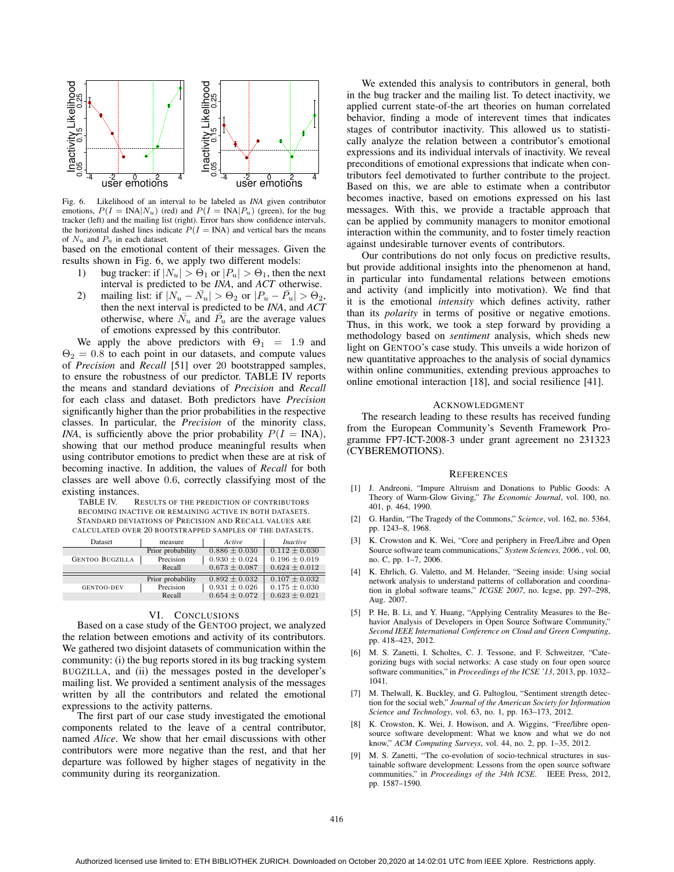

Fig. 6. Likelihood of an interval to be labeled as *INA* given contributor emotions,  $P(I = \text{INA}|N_u)$  (red) and  $P(I = \text{INA}|P_u)$  (green), for the bug tracker (left) and the mailing list (right). Error bars show confidence intervals, the horizontal dashed lines indicate  $P(I = \text{INA})$  and vertical bars the means of  $N_u$  and  $P_u$  in each dataset.

based on the emotional content of their messages. Given the results shown in Fig. 6, we apply two different models:

- 1) bug tracker: if  $|N_u| > \Theta_1$  or  $|P_u| > \Theta_1$ , then the next interval is predicted to be *INA*, and *ACT* otherwise.
- 2) mailing list: if  $|N_u \bar{N_u}| > \Theta_2$  or  $|P_u \bar{P_u}| > \Theta_2$ then the next interval is predicted to be *INA*, and *ACT* otherwise, where  $\overline{N}_u$  and  $\overline{P}_u$  are the average values of emotions expressed by this contributor.

We apply the above predictors with  $\Theta_1 = 1.9$  and  $\Theta_2 = 0.8$  to each point in our datasets, and compute values of *Precision* and *Recall* [51] over 20 bootstrapped samples, to ensure the robustness of our predictor. TABLE IV reports the means and standard deviations of *Precision* and *Recall* for each class and dataset. Both predictors have *Precision* significantly higher than the prior probabilities in the respective classes. In particular, the *Precision* of the minority class, *INA*, is sufficiently above the prior probability  $P(I = \text{INA})$ , showing that our method produce meaningful results when using contributor emotions to predict when these are at risk of becoming inactive. In addition, the values of *Recall* for both classes are well above 0.6, correctly classifying most of the existing instances.<br>TABLE IV

RESULTS OF THE PREDICTION OF CONTRIBUTORS BECOMING INACTIVE OR REMAINING ACTIVE IN BOTH DATASETS. STANDARD DEVIATIONS OF PRECISION AND RECALL VALUES ARE CALCULATED OVER 20 BOOTSTRAPPED SAMPLES OF THE DATASETS.

| <b>Dataset</b>         | measure           | Active            | <i>Inactive</i>   |
|------------------------|-------------------|-------------------|-------------------|
|                        | Prior probability | $0.886 \pm 0.030$ | $0.112 \pm 0.030$ |
| <b>GENTOO BUGZILLA</b> | Precision         | $0.930 \pm 0.024$ | $0.196 \pm 0.019$ |
|                        | Recall            | $0.673 \pm 0.087$ | $0.624 \pm 0.012$ |
|                        | Prior probability | $0.892 \pm 0.032$ | $0.107 \pm 0.032$ |
| <b>GENTOO-DEV</b>      | Precision         | $0.931 \pm 0.026$ | $0.175 \pm 0.030$ |
|                        | Recall            | $0.654 \pm 0.072$ | $0.623 \pm 0.021$ |

## VI. CONCLUSIONS

Based on a case study of the GENTOO project, we analyzed the relation between emotions and activity of its contributors. We gathered two disjoint datasets of communication within the community: (i) the bug reports stored in its bug tracking system BUGZILLA, and (ii) the messages posted in the developer's mailing list. We provided a sentiment analysis of the messages written by all the contributors and related the emotional expressions to the activity patterns.

The first part of our case study investigated the emotional components related to the leave of a central contributor, named *Alice*. We show that her email discussions with other contributors were more negative than the rest, and that her departure was followed by higher stages of negativity in the community during its reorganization.

We extended this analysis to contributors in general, both in the bug tracker and the mailing list. To detect inactivity, we applied current state-of-the art theories on human correlated behavior, finding a mode of interevent times that indicates stages of contributor inactivity. This allowed us to statistically analyze the relation between a contributor's emotional expressions and its individual intervals of inactivity. We reveal preconditions of emotional expressions that indicate when contributors feel demotivated to further contribute to the project. Based on this, we are able to estimate when a contributor becomes inactive, based on emotions expressed on his last messages. With this, we provide a tractable approach that can be applied by community managers to monitor emotional interaction within the community, and to foster timely reaction against undesirable turnover events of contributors.

Our contributions do not only focus on predictive results, but provide additional insights into the phenomenon at hand, in particular into fundamental relations between emotions and activity (and implicitly into motivation). We find that it is the emotional *intensity* which defines activity, rather than its *polarity* in terms of positive or negative emotions. Thus, in this work, we took a step forward by providing a methodology based on *sentiment* analysis, which sheds new light on GENTOO's case study. This unveils a wide horizon of new quantitative approaches to the analysis of social dynamics within online communities, extending previous approaches to online emotional interaction [18], and social resilience [41].

## ACKNOWLEDGMENT

The research leading to these results has received funding from the European Community's Seventh Framework Programme FP7-ICT-2008-3 under grant agreement no 231323 (CYBEREMOTIONS).

#### **REFERENCES**

- [1] J. Andreoni, "Impure Altruism and Donations to Public Goods: A Theory of Warm-Glow Giving," *The Economic Journal*, vol. 100, no. 401, p. 464, 1990.
- [2] G. Hardin, "The Tragedy of the Commons," *Science*, vol. 162, no. 5364, pp. 1243–8, 1968.
- [3] K. Crowston and K. Wei, "Core and periphery in Free/Libre and Open Source software team communications," *System Sciences, 2006.*, vol. 00, no. C, pp. 1–7, 2006.
- [4] K. Ehrlich, G. Valetto, and M. Helander, "Seeing inside: Using social network analysis to understand patterns of collaboration and coordination in global software teams," *ICGSE 2007*, no. Icgse, pp. 297–298, Aug. 2007.
- [5] P. He, B. Li, and Y. Huang, "Applying Centrality Measures to the Behavior Analysis of Developers in Open Source Software Community,' *Second IEEE International Conference on Cloud and Green Computing*, pp. 418–423, 2012.
- [6] M. S. Zanetti, I. Scholtes, C. J. Tessone, and F. Schweitzer, "Categorizing bugs with social networks: A case study on four open source software communities," in *Proceedings of the ICSE '13*, 2013, pp. 1032– 1041.
- [7] M. Thelwall, K. Buckley, and G. Paltoglou, "Sentiment strength detection for the social web," *Journal of the American Society for Information Science and Technology*, vol. 63, no. 1, pp. 163–173, 2012.
- [8] K. Crowston, K. Wei, J. Howison, and A. Wiggins, "Free/libre opensource software development: What we know and what we do not know," *ACM Computing Surveys*, vol. 44, no. 2, pp. 1–35, 2012.
- M. S. Zanetti, "The co-evolution of socio-technical structures in sustainable software development: Lessons from the open source software communities," in *Proceedings of the 34th ICSE*. IEEE Press, 2012, pp. 1587–1590.